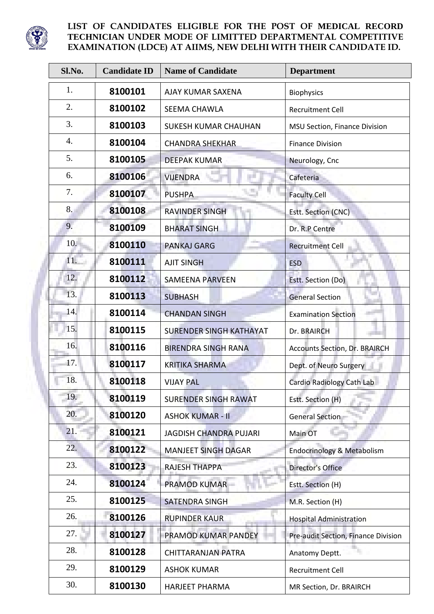

| Sl.No. | <b>Candidate ID</b> | <b>Name of Candidate</b>       | <b>Department</b>                    |
|--------|---------------------|--------------------------------|--------------------------------------|
| 1.     | 8100101             | AJAY KUMAR SAXENA              | <b>Biophysics</b>                    |
| 2.     | 8100102             | <b>SEEMA CHAWLA</b>            | <b>Recruitment Cell</b>              |
| 3.     | 8100103             | <b>SUKESH KUMAR CHAUHAN</b>    | <b>MSU Section, Finance Division</b> |
| 4.     | 8100104             | <b>CHANDRA SHEKHAR</b>         | <b>Finance Division</b>              |
| 5.     | 8100105             | <b>DEEPAK KUMAR</b>            | Neurology, Cnc                       |
| 6.     | 8100106             | <b>VIJENDRA</b>                | Cafeteria                            |
| 7.     | 8100107             | <b>PUSHPA</b>                  | <b>Faculty Cell</b>                  |
| 8.     | 8100108             | <b>RAVINDER SINGH</b>          | Estt. Section (CNC)                  |
| 9.     | 8100109             | <b>BHARAT SINGH</b>            | Dr. R.P Centre                       |
| 10.    | 8100110             | <b>PANKAJ GARG</b>             | <b>Recruitment Cell</b>              |
| 11.    | 8100111             | <b>AJIT SINGH</b>              | <b>ESD</b>                           |
| 12.    | 8100112             | <b>SAMEENA PARVEEN</b>         | Estt. Section (Do)                   |
| 13.    | 8100113             | <b>SUBHASH</b>                 | <b>General Section</b>               |
| 14.    | 8100114             | <b>CHANDAN SINGH</b>           | <b>Examination Section</b>           |
| 15.    | 8100115             | <b>SURENDER SINGH KATHAYAT</b> | Dr. BRAIRCH                          |
| 16.    | 8100116             | <b>BIRENDRA SINGH RANA</b>     | <b>Accounts Section, Dr. BRAIRCH</b> |
| 17.    | 8100117             | <b>KRITIKA SHARMA</b>          | Dept. of Neuro Surgery               |
| 18.    | 8100118             | <b>VIJAY PAL</b>               | Cardio Radiology Cath Lab            |
| 19.    | 8100119             | <b>SURENDER SINGH RAWAT</b>    | Estt. Section (H)                    |
| 20.    | 8100120             | <b>ASHOK KUMAR - II</b>        | <b>General Section</b>               |
| 21.    | 8100121             | <b>JAGDISH CHANDRA PUJARI</b>  | Main OT                              |
| 22.    | 8100122             | <b>MANJEET SINGH DAGAR</b>     | Endocrinology & Metabolism           |
| 23.    | 8100123             | <b>RAJESH THAPPA</b>           | <b>Director's Office</b>             |
| 24.    | 8100124             | <b>PRAMOD KUMAR</b>            | Estt. Section (H)                    |
| 25.    | 8100125             | <b>SATENDRA SINGH</b>          | M.R. Section (H)                     |
| 26.    | 8100126             | <b>RUPINDER KAUR</b>           | <b>Hospital Administration</b>       |
| 27.    | 8100127             | PRAMOD KUMAR PANDEY            | Pre-audit Section, Finance Division  |
| 28.    | 8100128             | <b>CHITTARANJAN PATRA</b>      | Anatomy Deptt.                       |
| 29.    | 8100129             | <b>ASHOK KUMAR</b>             | <b>Recruitment Cell</b>              |
| 30.    | 8100130             | <b>HARJEET PHARMA</b>          | MR Section, Dr. BRAIRCH              |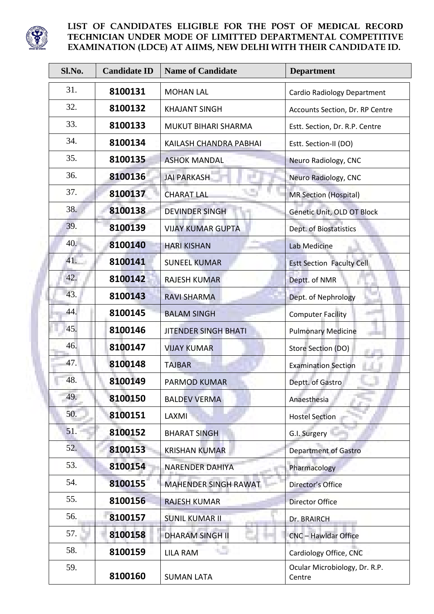

l

| Sl.No. | <b>Candidate ID</b> | <b>Name of Candidate</b>    | <b>Department</b>                       |
|--------|---------------------|-----------------------------|-----------------------------------------|
| 31.    | 8100131             | <b>MOHAN LAL</b>            | <b>Cardio Radiology Department</b>      |
| 32.    | 8100132             | <b>KHAJANT SINGH</b>        | Accounts Section, Dr. RP Centre         |
| 33.    | 8100133             | <b>MUKUT BIHARI SHARMA</b>  | Estt. Section, Dr. R.P. Centre          |
| 34.    | 8100134             | KAILASH CHANDRA PABHAI      | Estt. Section-II (DO)                   |
| 35.    | 8100135             | <b>ASHOK MANDAL</b>         | Neuro Radiology, CNC                    |
| 36.    | 8100136             | <b>JAI PARKASH</b>          | Neuro Radiology, CNC                    |
| 37.    | 8100137             | <b>CHARAT LAL</b>           | <b>MR Section (Hospital)</b>            |
| 38.    | 8100138             | <b>DEVINDER SINGH</b>       | Genetic Unit, OLD OT Block              |
| 39.    | 8100139             | <b>VIJAY KUMAR GUPTA</b>    | Dept. of Biostatistics                  |
| 40.    | 8100140             | <b>HARI KISHAN</b>          | <b>Lab Medicine</b>                     |
| 41.    | 8100141             | <b>SUNEEL KUMAR</b>         | <b>Estt Section Faculty Cell</b>        |
| 42.    | 8100142             | <b>RAJESH KUMAR</b>         | Deptt. of NMR                           |
| 43.    | 8100143             | <b>RAVI SHARMA</b>          | Dept. of Nephrology                     |
| 44.    | 8100145             | <b>BALAM SINGH</b>          | <b>Computer Facility</b>                |
| 45.    | 8100146             | <b>JITENDER SINGH BHATI</b> | <b>Pulmonary Medicine</b>               |
| 46.    | 8100147             | <b>VIJAY KUMAR</b>          | Store Section (DO)                      |
| 47.    | 8100148             | <b>TAJBAR</b>               | <b>Examination Section</b>              |
| 48.    | 8100149             | <b>PARMOD KUMAR</b>         | Deptt. of Gastro                        |
| 49.    | 8100150             | <b>BALDEV VERMA</b>         | Anaesthesia                             |
| 50.    | 8100151             | LAXMI                       | <b>Hostel Section</b>                   |
| 51.    | 8100152             | <b>BHARAT SINGH</b>         | G.I. Surgery                            |
| 52.    | 8100153             | <b>KRISHAN KUMAR</b>        | <b>Department of Gastro</b>             |
| 53.    | 8100154             | <b>NARENDER DAHIYA</b>      | Pharmacology                            |
| 54.    | 8100155             | <b>MAHENDER SINGH RAWAT</b> | Director's Office                       |
| 55.    | 8100156             | <b>RAJESH KUMAR</b>         | <b>Director Office</b>                  |
| 56.    | 8100157             | <b>SUNIL KUMAR II</b>       | Dr. BRAIRCH                             |
| 57.    | 8100158             | <b>DHARAM SINGH II</b>      | CNC - Hawldar Office                    |
| 58.    | 8100159             | <b>LILA RAM</b>             | Cardiology Office, CNC                  |
| 59.    | 8100160             | <b>SUMAN LATA</b>           | Ocular Microbiology, Dr. R.P.<br>Centre |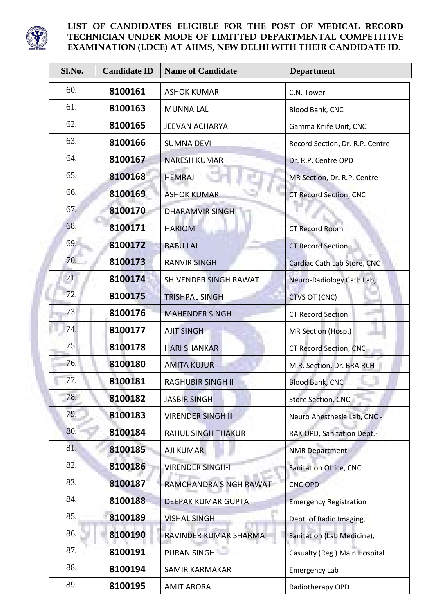

l

| Sl.No. | <b>Candidate ID</b> | <b>Name of Candidate</b>  | <b>Department</b>               |
|--------|---------------------|---------------------------|---------------------------------|
| 60.    | 8100161             | <b>ASHOK KUMAR</b>        | C.N. Tower                      |
| 61.    | 8100163             | <b>MUNNA LAL</b>          | Blood Bank, CNC                 |
| 62.    | 8100165             | <b>JEEVAN ACHARYA</b>     | Gamma Knife Unit, CNC           |
| 63.    | 8100166             | <b>SUMNA DEVI</b>         | Record Section, Dr. R.P. Centre |
| 64.    | 8100167             | <b>NARESH KUMAR</b>       | Dr. R.P. Centre OPD             |
| 65.    | 8100168             | <b>HEMRAJ</b>             | MR Section, Dr. R.P. Centre     |
| 66.    | 8100169             | <b>ASHOK KUMAR</b>        | <b>CT Record Section, CNC</b>   |
| 67.    | 8100170             | <b>DHARAMVIR SINGH</b>    |                                 |
| 68.    | 8100171             | <b>HARIOM</b>             | <b>CT Record Room</b>           |
| 69.    | 8100172             | <b>BABU LAL</b>           | <b>CT Record Section</b>        |
| 70.    | 8100173             | <b>RANVIR SINGH</b>       | Cardiac Cath Lab Store, CNC     |
| 71.    | 8100174             | SHIVENDER SINGH RAWAT     | Neuro-Radiology Cath Lab,       |
| 72.    | 8100175             | <b>TRISHPAL SINGH</b>     | <b>CTVS OT (CNC)</b>            |
| 73.    | 8100176             | <b>MAHENDER SINGH</b>     | <b>CT Record Section</b>        |
| 74.    | 8100177             | <b>AJIT SINGH</b>         | MR Section (Hosp.)              |
| 75.    | 8100178             | <b>HARI SHANKAR</b>       | CT Record Section, CNC          |
| 76.    | 8100180             | <b>AMITA KUJUR</b>        | M.R. Section, Dr. BRAIRCH       |
| 77.    | 8100181             | <b>RAGHUBIR SINGH II</b>  | <b>Blood Bank, CNC</b>          |
| 78.    | 8100182             | <b>JASBIR SINGH</b>       | Store Section, CNC              |
| 79.    | 8100183             | <b>VIRENDER SINGH II</b>  | Neuro Anesthesia Lab, CNC -     |
| 80.    | 8100184             | <b>RAHUL SINGH THAKUR</b> | RAK OPD, Sanitation Dept.-      |
| 81.    | 8100185             | AJI KUMAR                 | <b>NMR Department</b>           |
| 82.    | 8100186             | <b>VIRENDER SINGH-I</b>   | Sanitation Office, CNC          |
| 83.    | 8100187             | RAMCHANDRA SINGH RAWAT    | <b>CNC OPD</b>                  |
| 84.    | 8100188             | DEEPAK KUMAR GUPTA        | <b>Emergency Registration</b>   |
| 85.    | 8100189             | <b>VISHAL SINGH</b>       | Dept. of Radio Imaging,         |
| 86.    | 8100190             | RAVINDER KUMAR SHARMA     | Sanitation (Lab Medicine),      |
| 87.    | 8100191             | PURAN SINGH               | Casualty (Reg.) Main Hospital   |
| 88.    | 8100194             | <b>SAMIR KARMAKAR</b>     | <b>Emergency Lab</b>            |
| 89.    | 8100195             | <b>AMIT ARORA</b>         | Radiotherapy OPD                |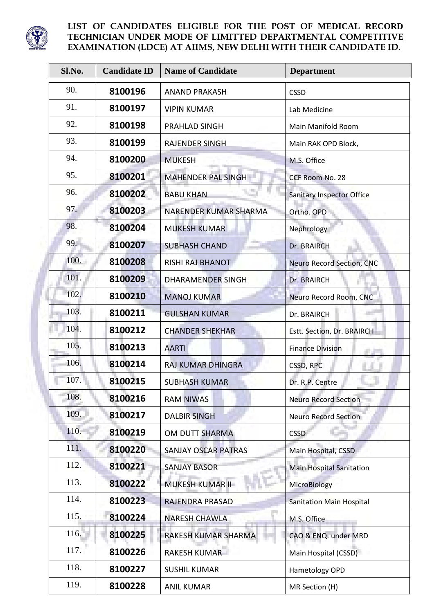

| Sl.No. | <b>Candidate ID</b> | <b>Name of Candidate</b>     | <b>Department</b>                |
|--------|---------------------|------------------------------|----------------------------------|
| 90.    | 8100196             | <b>ANAND PRAKASH</b>         | <b>CSSD</b>                      |
| 91.    | 8100197             | <b>VIPIN KUMAR</b>           | Lab Medicine                     |
| 92.    | 8100198             | PRAHLAD SINGH                | Main Manifold Room               |
| 93.    | 8100199             | <b>RAJENDER SINGH</b>        | Main RAK OPD Block,              |
| 94.    | 8100200             | <b>MUKESH</b>                | M.S. Office                      |
| 95.    | 8100201             | <b>MAHENDER PAL SINGH</b>    | CCF Room No. 28                  |
| 96.    | 8100202             | <b>BABU KHAN</b>             | <b>Sanitary Inspector Office</b> |
| 97.    | 8100203             | <b>NARENDER KUMAR SHARMA</b> | Ortho. OPD                       |
| 98.    | 8100204             | <b>MUKESH KUMAR</b>          | Nephrology                       |
| 99.    | 8100207             | <b>SUBHASH CHAND</b>         | Dr. BRAIRCH                      |
| 100.   | 8100208             | <b>RISHI RAJ BHANOT</b>      | Neuro Record Section, CNC        |
| 101.   | 8100209             | <b>DHARAMENDER SINGH</b>     | Dr. BRAIRCH                      |
| 102.   | 8100210             | <b>MANOJ KUMAR</b>           | Neuro Record Room, CNC           |
| 103.   | 8100211             | <b>GULSHAN KUMAR</b>         | Dr. BRAIRCH                      |
| 104.   | 8100212             | <b>CHANDER SHEKHAR</b>       | Estt. Section, Dr. BRAIRCH       |
| 105.   | 8100213             | <b>AARTI</b>                 | <b>Finance Division</b>          |
| 106.   | 8100214             | <b>RAJ KUMAR DHINGRA</b>     | CSSD, RPC                        |
| 107.   | 8100215             | <b>SUBHASH KUMAR</b>         | Dr. R.P. Centre                  |
| 108.   | 8100216             | <b>RAM NIWAS</b>             | <b>Neuro Record Section</b>      |
| 109.   | 8100217             | <b>DALBIR SINGH</b>          | <b>Neuro Record Section</b>      |
| 110.   | 8100219             | <b>OM DUTT SHARMA</b>        | <b>CSSD</b>                      |
| 111.   | 8100220             | <b>SANJAY OSCAR PATRAS</b>   | Main Hospital, CSSD              |
| 112.   | 8100221             | <b>SANJAY BASOR</b>          | <b>Main Hospital Sanitation</b>  |
| 113.   | 8100222             | MUKESH KUMAR II              | MicroBiology                     |
| 114.   | 8100223             | RAJENDRA PRASAD              | <b>Sanitation Main Hospital</b>  |
| 115.   | 8100224             | <b>NARESH CHAWLA</b>         | M.S. Office                      |
| 116.   | 8100225             | RAKESH KUMAR SHARMA          | CAO & ENQ. under MRD             |
| 117.   | 8100226             | RAKESH KUMAR                 | Main Hospital (CSSD)             |
| 118.   | 8100227             | <b>SUSHIL KUMAR</b>          | Hametology OPD                   |
| 119.   | 8100228             | <b>ANIL KUMAR</b>            | MR Section (H)                   |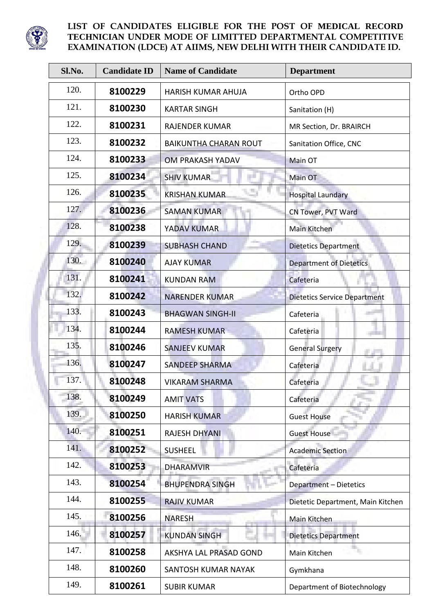

| Sl.No. | <b>Candidate ID</b> | <b>Name of Candidate</b>     | <b>Department</b>                   |
|--------|---------------------|------------------------------|-------------------------------------|
| 120.   | 8100229             | <b>HARISH KUMAR AHUJA</b>    | Ortho OPD                           |
| 121.   | 8100230             | <b>KARTAR SINGH</b>          | Sanitation (H)                      |
| 122.   | 8100231             | <b>RAJENDER KUMAR</b>        | MR Section, Dr. BRAIRCH             |
| 123.   | 8100232             | <b>BAIKUNTHA CHARAN ROUT</b> | Sanitation Office, CNC              |
| 124.   | 8100233             | OM PRAKASH YADAV             | Main OT                             |
| 125.   | 8100234             | <b>SHIV KUMAR</b>            | Main OT                             |
| 126.   | 8100235             | <b>KRISHAN KUMAR</b>         | <b>Hospital Laundary</b>            |
| 127.   | 8100236             | <b>SAMAN KUMAR</b>           | CN Tower, PVT Ward                  |
| 128.   | 8100238             | YADAV KUMAR                  | Main Kitchen                        |
| 129.   | 8100239             | <b>SUBHASH CHAND</b>         | <b>Dietetics Department</b>         |
| 130.   | 8100240             | <b>AJAY KUMAR</b>            | <b>Department of Dietetics</b>      |
| 131.   | 8100241             | <b>KUNDAN RAM</b>            | Cafeteria                           |
| 132.   | 8100242             | <b>NARENDER KUMAR</b>        | <b>Dietetics Service Department</b> |
| 133.   | 8100243             | <b>BHAGWAN SINGH-II</b>      | Cafeteria                           |
| 134.   | 8100244             | <b>RAMESH KUMAR</b>          | Cafeteria                           |
| 135.   | 8100246             | <b>SANJEEV KUMAR</b>         | <b>General Surgery</b>              |
| 136.   | 8100247             | <b>SANDEEP SHARMA</b>        | Cafeteria                           |
| 137.   | 8100248             | <b>VIKARAM SHARMA</b>        | Cafeteria                           |
| 138.   | 8100249             | <b>AMIT VATS</b>             | Cafeteria                           |
| 139.   | 8100250             | <b>HARISH KUMAR</b>          | <b>Guest House</b>                  |
| 140.   | 8100251             | <b>RAJESH DHYANI</b>         | <b>Guest House</b>                  |
| 141.   | 8100252             | <b>SUSHEEL</b>               | <b>Academic Section</b>             |
| 142.   | 8100253             | <b>DHARAMVIR</b>             | Cafeteria                           |
| 143.   | 8100254             | <b>BHUPENDRA SINGH</b>       | Department - Dietetics              |
| 144.   | 8100255             | <b>RAJIV KUMAR</b>           | Dietetic Department, Main Kitchen   |
| 145.   | 8100256             | <b>NARESH</b>                | Main Kitchen                        |
| 146.   | 8100257             | <b>KUNDAN SINGH</b>          | <b>Dietetics Department</b>         |
| 147.   | 8100258             | AKSHYA LAL PRASAD GOND       | Main Kitchen                        |
| 148.   | 8100260             | SANTOSH KUMAR NAYAK          | Gymkhana                            |
| 149.   | 8100261             | <b>SUBIR KUMAR</b>           | Department of Biotechnology         |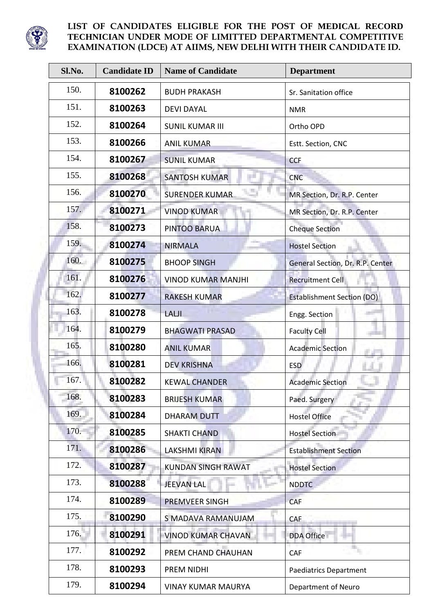

| Sl.No. | <b>Candidate ID</b> | <b>Name of Candidate</b>  | <b>Department</b>                 |
|--------|---------------------|---------------------------|-----------------------------------|
| 150.   | 8100262             | <b>BUDH PRAKASH</b>       | Sr. Sanitation office             |
| 151.   | 8100263             | <b>DEVI DAYAL</b>         | <b>NMR</b>                        |
| 152.   | 8100264             | <b>SUNIL KUMAR III</b>    | Ortho OPD                         |
| 153.   | 8100266             | <b>ANIL KUMAR</b>         | Estt. Section, CNC                |
| 154.   | 8100267             | <b>SUNIL KUMAR</b>        | <b>CCF</b>                        |
| 155.   | 8100268             | <b>SANTOSH KUMAR</b>      | <b>CNC</b>                        |
| 156.   | 8100270             | <b>SURENDER KUMAR</b>     | MR Section, Dr. R.P. Center       |
| 157.   | 8100271             | <b>VINOD KUMAR</b>        | MR Section, Dr. R.P. Center       |
| 158.   | 8100273             | PINTOO BARUA              | <b>Cheque Section</b>             |
| 159.   | 8100274             | <b>NIRMALA</b>            | <b>Hostel Section</b>             |
| 160.   | 8100275             | <b>BHOOP SINGH</b>        | General Section, Dr. R.P. Center  |
| 161.   | 8100276             | <b>VINOD KUMAR MANJHI</b> | <b>Recruitment Cell</b>           |
| 162.   | 8100277             | <b>RAKESH KUMAR</b>       | <b>Establishment Section (DO)</b> |
| 163.   | 8100278             | LALJI                     | Engg. Section                     |
| 164.   | 8100279             | <b>BHAGWATI PRASAD</b>    | <b>Faculty Cell</b>               |
| 165.   | 8100280             | <b>ANIL KUMAR</b>         | <b>Academic Section</b>           |
| 166.   | 8100281             | <b>DEV KRISHNA</b>        | <b>ESD</b>                        |
| 167.   | 8100282             | <b>KEWAL CHANDER</b>      | <b>Academic Section</b>           |
| 168.   | 8100283             | <b>BRIJESH KUMAR</b>      | Paed. Surgery                     |
| 169.   | 8100284             | <b>DHARAM DUTT</b>        | <b>Hostel Office</b>              |
| 170.   | 8100285             | <b>SHAKTI CHAND</b>       | <b>Hostel Section</b>             |
| 171.   | 8100286             | <b>LAKSHMI KIRAN</b>      | <b>Establishment Section</b>      |
| 172.   | 8100287             | <b>KUNDAN SINGH RAWAT</b> | <b>Hostel Section</b>             |
| 173.   | 8100288             | <b>JEEVAN LAL</b>         | <b>NDDTC</b>                      |
| 174.   | 8100289             | <b>PREMVEER SINGH</b>     | <b>CAF</b>                        |
| 175.   | 8100290             | S MADAVA RAMANUJAM        | CAF                               |
| 176.   | 8100291             | <b>VINOD KUMAR CHAVAN</b> | DDA Office                        |
| 177.   | 8100292             | PREM CHAND CHAUHAN        | CAF                               |
| 178.   | 8100293             | PREM NIDHI                | <b>Paediatrics Department</b>     |
| 179.   | 8100294             | <b>VINAY KUMAR MAURYA</b> | Department of Neuro               |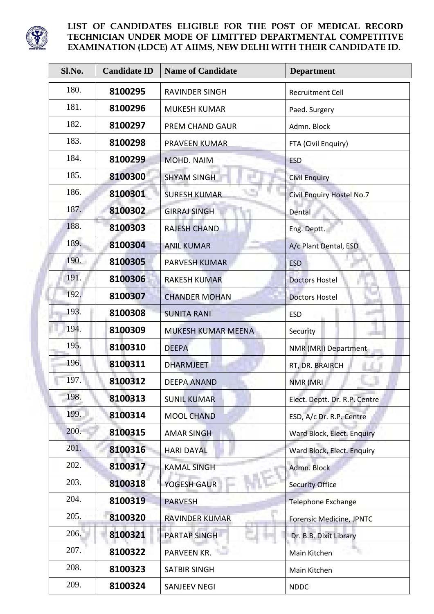

| Sl.No. | <b>Candidate ID</b> | <b>Name of Candidate</b> | <b>Department</b>                |
|--------|---------------------|--------------------------|----------------------------------|
| 180.   | 8100295             | <b>RAVINDER SINGH</b>    | <b>Recruitment Cell</b>          |
| 181.   | 8100296             | <b>MUKESH KUMAR</b>      | Paed. Surgery                    |
| 182.   | 8100297             | PREM CHAND GAUR          | Admn. Block                      |
| 183.   | 8100298             | PRAVEEN KUMAR            | FTA (Civil Enquiry)              |
| 184.   | 8100299             | MOHD. NAIM               | <b>ESD</b>                       |
| 185.   | 8100300             | <b>SHYAM SINGH</b>       | <b>Civil Enquiry</b>             |
| 186.   | 8100301             | <b>SURESH KUMAR</b>      | <b>Civil Enquiry Hostel No.7</b> |
| 187.   | 8100302             | <b>GIRRAJ SINGH</b>      | Dental                           |
| 188.   | 8100303             | <b>RAJESH CHAND</b>      | Eng. Deptt.                      |
| 189.   | 8100304             | <b>ANIL KUMAR</b>        | A/c Plant Dental, ESD            |
| 190.   | 8100305             | <b>PARVESH KUMAR</b>     | <b>ESD</b>                       |
| 191.   | 8100306             | <b>RAKESH KUMAR</b>      | <b>Doctors Hostel</b>            |
| 192.   | 8100307             | <b>CHANDER MOHAN</b>     | <b>Doctors Hostel</b>            |
| 193.   | 8100308             | <b>SUNITA RANI</b>       | <b>ESD</b>                       |
| 194.   | 8100309             | MUKESH KUMAR MEENA       | Security                         |
| 195.   | 8100310             | <b>DEEPA</b>             | NMR (MRI) Department             |
| 196.   | 8100311             | <b>DHARMJEET</b>         | RT, DR. BRAIRCH                  |
| 197.   | 8100312             | <b>DEEPA ANAND</b>       | NMR (MRI                         |
| 198.   | 8100313             | <b>SUNIL KUMAR</b>       | Elect. Deptt. Dr. R.P. Centre    |
| 199.   | 8100314             | <b>MOOL CHAND</b>        | ESD, A/c Dr. R.P. Centre         |
| 200.   | 8100315             | <b>AMAR SINGH</b>        | Ward Block, Elect. Enquiry       |
| 201.   | 8100316             | <b>HARI DAYAL</b>        | Ward Block, Elect. Enquiry       |
| 202.   | 8100317             | <b>KAMAL SINGH</b>       | Admn. Block                      |
| 203.   | 8100318             | YOGESH GAUR              | <b>Security Office</b>           |
| 204.   | 8100319             | <b>PARVESH</b>           | <b>Telephone Exchange</b>        |
| 205.   | 8100320             | <b>RAVINDER KUMAR</b>    | Forensic Medicine, JPNTC         |
| 206.   | 8100321             | <b>PARTAP SINGH</b>      | Dr. B.B. Dixit Library           |
| 207.   | 8100322             | PARVEEN KR.              | Main Kitchen                     |
| 208.   | 8100323             | <b>SATBIR SINGH</b>      | Main Kitchen                     |
| 209.   | 8100324             | <b>SANJEEV NEGI</b>      | <b>NDDC</b>                      |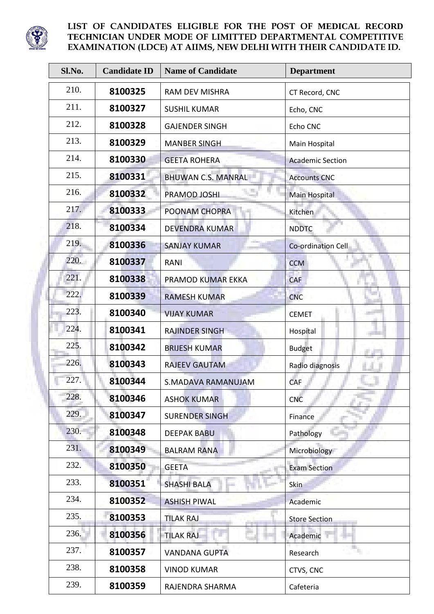

| Sl.No. | <b>Candidate ID</b> | <b>Name of Candidate</b>  | <b>Department</b>       |
|--------|---------------------|---------------------------|-------------------------|
| 210.   | 8100325             | <b>RAM DEV MISHRA</b>     | CT Record, CNC          |
| 211.   | 8100327             | <b>SUSHIL KUMAR</b>       | Echo, CNC               |
| 212.   | 8100328             | <b>GAJENDER SINGH</b>     | Echo CNC                |
| 213.   | 8100329             | <b>MANBER SINGH</b>       | Main Hospital           |
| 214.   | 8100330             | <b>GEETA ROHERA</b>       | <b>Academic Section</b> |
| 215.   | 8100331             | <b>BHUWAN C.S. MANRAL</b> | <b>Accounts CNC</b>     |
| 216.   | 8100332             | PRAMOD JOSHI              | Main Hospital           |
| 217.   | 8100333             | POONAM CHOPRA             | Kitchen                 |
| 218.   | 8100334             | <b>DEVENDRA KUMAR</b>     | <b>NDDTC</b>            |
| 219.   | 8100336             | <b>SANJAY KUMAR</b>       | Co-ordination Cell      |
| 220.   | 8100337             | <b>RANI</b>               | <b>CCM</b>              |
| 221.   | 8100338             | PRAMOD KUMAR EKKA         | CAF                     |
| 222.   | 8100339             | <b>RAMESH KUMAR</b>       | <b>CNC</b>              |
| 223.   | 8100340             | <b>VIJAY KUMAR</b>        | <b>CEMET</b>            |
| 224.   | 8100341             | <b>RAJINDER SINGH</b>     | Hospital                |
| 225.   | 8100342             | <b>BRIJESH KUMAR</b>      | <b>Budget</b>           |
| 226.   | 8100343             | <b>RAJEEV GAUTAM</b>      | Radio diagnosis         |
| 227.   | 8100344             | <b>S.MADAVA RAMANUJAM</b> | CAF                     |
| 228.   | 8100346             | <b>ASHOK KUMAR</b>        | <b>CNC</b>              |
| 229.   | 8100347             | <b>SURENDER SINGH</b>     | Finance                 |
| 230.   | 8100348             | <b>DEEPAK BABU</b>        | Pathology               |
| 231.   | 8100349             | <b>BALRAM RANA</b>        | Microbiology            |
| 232.   | 8100350             | <b>GEETA</b>              | <b>Exam Section</b>     |
| 233.   | 8100351             | <b>SHASHI BALA</b>        | <b>Skin</b>             |
| 234.   | 8100352             | <b>ASHISH PIWAL</b>       | Academic                |
| 235.   | 8100353             | <b>TILAK RAJ</b>          | <b>Store Section</b>    |
| 236.   | 8100356             | <b>TILAK RAJ</b>          | Academic                |
| 237.   | 8100357             | <b>VANDANA GUPTA</b>      | Research                |
| 238.   | 8100358             | <b>VINOD KUMAR</b>        | CTVS, CNC               |
| 239.   | 8100359             | RAJENDRA SHARMA           | Cafeteria               |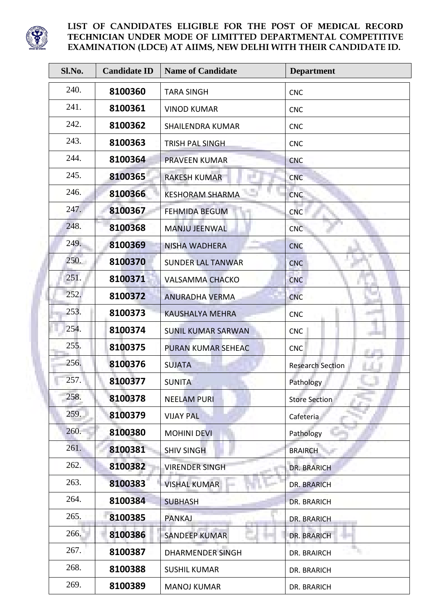

| Sl.No. | <b>Candidate ID</b> | <b>Name of Candidate</b>  | <b>Department</b>       |
|--------|---------------------|---------------------------|-------------------------|
| 240.   | 8100360             | <b>TARA SINGH</b>         | <b>CNC</b>              |
| 241.   | 8100361             | <b>VINOD KUMAR</b>        | <b>CNC</b>              |
| 242.   | 8100362             | <b>SHAILENDRA KUMAR</b>   | <b>CNC</b>              |
| 243.   | 8100363             | <b>TRISH PAL SINGH</b>    | <b>CNC</b>              |
| 244.   | 8100364             | <b>PRAVEEN KUMAR</b>      | <b>CNC</b>              |
| 245.   | 8100365             | <b>RAKESH KUMAR</b>       | <b>CNC</b>              |
| 246.   | 8100366             | <b>KESHORAM SHARMA</b>    | <b>CNC</b>              |
| 247.   | 8100367             | <b>FEHMIDA BEGUM</b>      | <b>CNC</b>              |
| 248.   | 8100368             | <b>MANJU JEENWAL</b>      | <b>CNC</b>              |
| 249.   | 8100369             | NISHA WADHERA             | <b>CNC</b>              |
| 250.   | 8100370             | <b>SUNDER LAL TANWAR</b>  | <b>CNC</b>              |
| 251.   | 8100371             | <b>VALSAMMA CHACKO</b>    | <b>CNC</b>              |
| 252.   | 8100372             | <b>ANURADHA VERMA</b>     | <b>CNC</b>              |
| 253.   | 8100373             | <b>KAUSHALYA MEHRA</b>    | <b>CNC</b>              |
| 254.   | 8100374             | <b>SUNIL KUMAR SARWAN</b> | <b>CNC</b>              |
| 255.   | 8100375             | PURAN KUMAR SEHEAC        | <b>CNC</b>              |
| 256.   | 8100376             | <b>SUJATA</b>             | <b>Research Section</b> |
| 257.   | 8100377             | <b>SUNITA</b>             | Pathology               |
| 258.   | 8100378             | <b>NEELAM PURI</b>        | <b>Store Section</b>    |
| 259.   | 8100379             | <b>VIJAY PAL</b>          | Cafeteria               |
| 260.   | 8100380             | <b>MOHINI DEVI</b>        | Pathology               |
| 261.   | 8100381             | <b>SHIV SINGH</b>         | <b>BRAIRCH</b>          |
| 262.   | 8100382             | <b>VIRENDER SINGH</b>     | <b>DR. BRARICH</b>      |
| 263.   | 8100383             | <b>VISHAL KUMAR</b>       | <b>DR. BRARICH</b>      |
| 264.   | 8100384             | <b>SUBHASH</b>            | <b>DR. BRARICH</b>      |
| 265.   | 8100385             | <b>PANKAJ</b>             | DR. BRARICH             |
| 266.   | 8100386             | <b>SANDEEP KUMAR</b>      | <b>DR. BRARICH</b>      |
| 267.   | 8100387             | <b>DHARMENDER SINGH</b>   | DR. BRAIRCH             |
| 268.   | 8100388             | <b>SUSHIL KUMAR</b>       | DR. BRARICH             |
| 269.   | 8100389             | <b>MANOJ KUMAR</b>        | DR. BRARICH             |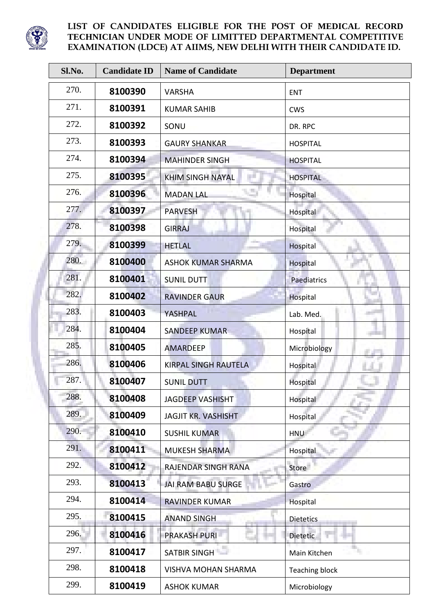

| Sl.No. | <b>Candidate ID</b> | <b>Name of Candidate</b>    | <b>Department</b>     |
|--------|---------------------|-----------------------------|-----------------------|
| 270.   | 8100390             | <b>VARSHA</b>               | ENT                   |
| 271.   | 8100391             | <b>KUMAR SAHIB</b>          | <b>CWS</b>            |
| 272.   | 8100392             | SONU                        | DR. RPC               |
| 273.   | 8100393             | <b>GAURY SHANKAR</b>        | <b>HOSPITAL</b>       |
| 274.   | 8100394             | <b>MAHINDER SINGH</b>       | <b>HOSPITAL</b>       |
| 275.   | 8100395             | <b>KHIM SINGH NAYAL</b>     | <b>HOSPITAL</b>       |
| 276.   | 8100396             | <b>MADAN LAL</b>            | Hospital              |
| 277.   | 8100397             | <b>PARVESH</b>              | Hospital              |
| 278.   | 8100398             | <b>GIRRAJ</b>               | Hospital              |
| 279.   | 8100399             | <b>HETLAL</b>               | Hospital              |
| 280.   | 8100400             | <b>ASHOK KUMAR SHARMA</b>   | Hospital              |
| 281.   | 8100401             | <b>SUNIL DUTT</b>           | <b>Paediatrics</b>    |
| 282.   | 8100402             | <b>RAVINDER GAUR</b>        | Hospital              |
| 283.   | 8100403             | YASHPAL                     | Lab. Med.             |
| 284.   | 8100404             | <b>SANDEEP KUMAR</b>        | Hospital              |
| 285.   | 8100405             | <b>AMARDEEP</b>             | Microbiology          |
| 286.   | 8100406             | <b>KIRPAL SINGH RAUTELA</b> | Hospital              |
| 287.   | 8100407             | <b>SUNIL DUTT</b>           | Hospital              |
| 288.   | 8100408             | <b>JAGDEEP VASHISHT</b>     | Hospital              |
| 289.   | 8100409             | <b>JAGJIT KR. VASHISHT</b>  | Hospital              |
| 290.   | 8100410             | <b>SUSHIL KUMAR</b>         | <b>HNU</b>            |
| 291.   | 8100411             | <b>MUKESH SHARMA</b>        | Hospital              |
| 292.   | 8100412             | RAJENDAR SINGH RANA         | Store                 |
| 293.   | 8100413             | JAI RAM BABU SURGE          | Gastro                |
| 294.   | 8100414             | <b>RAVINDER KUMAR</b>       | Hospital              |
| 295.   | 8100415             | <b>ANAND SINGH</b>          | <b>Dietetics</b>      |
| 296.   | 8100416             | <b>PRAKASH PURI</b>         | <b>Dietetic</b>       |
| 297.   | 8100417             | SATBIR SINGH                | Main Kitchen          |
| 298.   | 8100418             | <b>VISHVA MOHAN SHARMA</b>  | <b>Teaching block</b> |
| 299.   | 8100419             | <b>ASHOK KUMAR</b>          | Microbiology          |